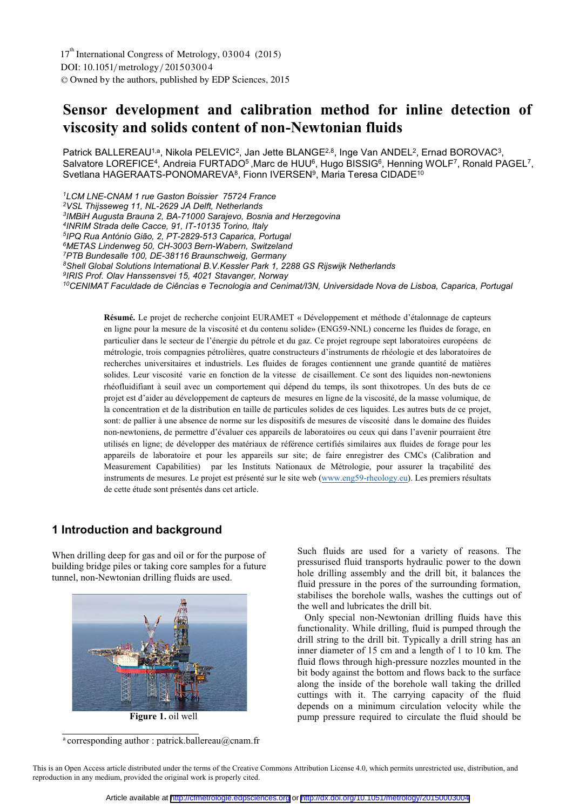# **Sensor development and calibration method for inline detection of viscosity and solids content of non-Newtonian fluids**

Patrick BALLEREAU<sup>1,a</sup>, Nikola PELEVIC<sup>2</sup>, Jan Jette BLANGE<sup>2,8</sup>, Inge Van ANDEL<sup>2</sup>, Ernad BOROVAC<sup>3</sup>, Salvatore LOREFICE<sup>4</sup>, Andreia FURTADO<sup>5</sup>, Marc de HUU<sup>6</sup>, Hugo BISSIG<sup>6</sup>, Henning WOLF<sup>7</sup>, Ronald PAGEL<sup>7</sup>, Svetlana HAGERAATS-PONOMAREVA<sup>8</sup>, Fionn IVERSEN<sup>9</sup>, Maria Teresa CIDADE<sup>10</sup>

*1LCM LNE-CNAM 1 rue Gaston Boissier 75724 France 2VSL Thijsseweg 11, NL-2629 JA Delft, Netherlands 3IMBiH Augusta Brauna 2, BA-71000 Sarajevo, Bosnia and Herzegovina 4INRIM Strada delle Cacce, 91, IT-10135 Torino, Italy 5IPQ Rua António Gião, 2, PT-2829-513 Caparica, Portugal 6METAS Lindenweg 50, CH-3003 Bern-Wabern, Switzeland 7PTB Bundesalle 100, DE-38116 Braunschweig, Germany 8Shell Global Solutions International B.V.Kessler Park 1, 2288 GS Rijswijk Netherlands 9IRIS Prof. Olav Hanssensvei 15, 4021 Stavanger, Norway 10CENIMAT Faculdade de Ciências e Tecnologia and Cenimat/I3N, Universidade Nova de Lisboa, Caparica, Portugal*

**Résumé.** Le projet de recherche conjoint EURAMET « Développement et méthode d'étalonnage de capteurs en ligne pour la mesure de la viscosité et du contenu solide» (ENG59-NNL) concerne les fluides de forage, en particulier dans le secteur de l'énergie du pétrole et du gaz. Ce projet regroupe sept laboratoires européens de métrologie, trois compagnies pétrolières, quatre constructeurs d'instruments de rhéologie et des laboratoires de recherches universitaires et industriels. Les fluides de forages contiennent une grande quantité de matières solides. Leur viscosité varie en fonction de la vitesse de cisaillement. Ce sont des liquides non-newtoniens rhéofluidifiant à seuil avec un comportement qui dépend du temps, ils sont thixotropes. Un des buts de ce projet est d'aider au développement de capteurs de mesures en ligne de la viscosité, de la masse volumique, de la concentration et de la distribution en taille de particules solides de ces liquides. Les autres buts de ce projet, sont: de pallier à une absence de norme sur les dispositifs de mesures de viscosité dans le domaine des fluides non-newtoniens, de permettre d'évaluer ces appareils de laboratoires ou ceux qui dans l'avenir pourraient être utilisés en ligne; de développer des matériaux de référence certifiés similaires aux fluides de forage pour les appareils de laboratoire et pour les appareils sur site; de faire enregistrer des CMCs (Calibration and Measurement Capabilities) par les Instituts Nationaux de Métrologie, pour assurer la traçabilité des instruments de mesures. Le projet est présenté sur le site web (www.eng59-rheology.eu). Les premiers résultats de cette étude sont présentés dans cet article.

### **1 Introduction and background**

When drilling deep for gas and oil or for the purpose of building bridge piles or taking core samples for a future tunnel, non-Newtonian drilling fluids are used.



**Figure 1.** oil well

<sup>a</sup> corresponding author : patrick.ballereau@cnam.fr

Such fluids are used for a variety of reasons. The pressurised fluid transports hydraulic power to the down hole drilling assembly and the drill bit, it balances the fluid pressure in the pores of the surrounding formation, stabilises the borehole walls, washes the cuttings out of the well and lubricates the drill bit.

 Only special non-Newtonian drilling fluids have this functionality. While drilling, fluid is pumped through the drill string to the drill bit. Typically a drill string has an inner diameter of 15 cm and a length of 1 to 10 km. The fluid flows through high-pressure nozzles mounted in the bit body against the bottom and flows back to the surface along the inside of the borehole wall taking the drilled cuttings with it. The carrying capacity of the fluid depends on a minimum circulation velocity while the pump pressure required to circulate the fluid should be

This is an Open Access article distributed under the terms of the Creative Commons Attribution License 4.0, which permits unrestricted use, distribution, and reproduction in any medium, provided the original work is properly cited.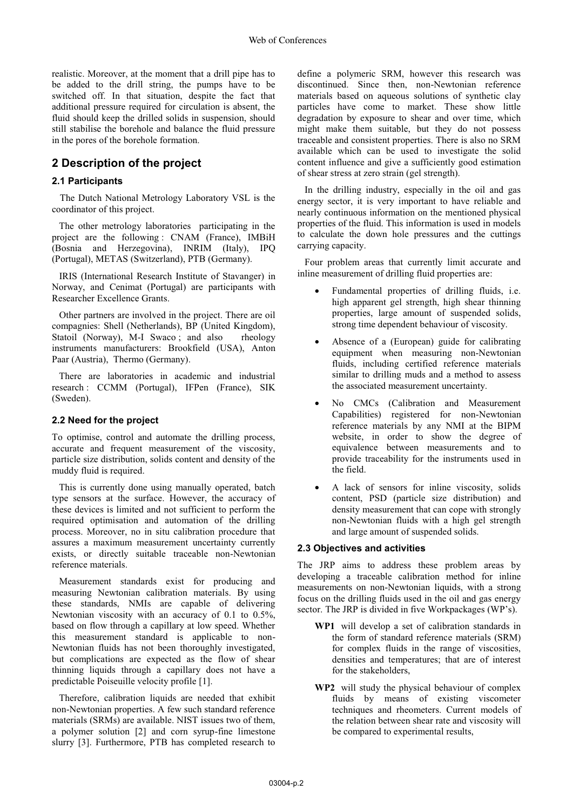realistic. Moreover, at the moment that a drill pipe has to be added to the drill string, the pumps have to be switched off. In that situation, despite the fact that additional pressure required for circulation is absent, the fluid should keep the drilled solids in suspension, should still stabilise the borehole and balance the fluid pressure in the pores of the borehole formation.

### **2 Description of the project**

### **2.1 Participants**

The Dutch National Metrology Laboratory VSL is the coordinator of this project.

The other metrology laboratories participating in the project are the following : CNAM (France), IMBiH (Bosnia and Herzegovina), INRIM (Italy), IPQ (Portugal), METAS (Switzerland), PTB (Germany).

IRIS (International Research Institute of Stavanger) in Norway, and Cenimat (Portugal) are participants with Researcher Excellence Grants.

Other partners are involved in the project. There are oil compagnies: Shell (Netherlands), BP (United Kingdom), Statoil (Norway), M-I Swaco; and also rheology instruments manufacturers: Brookfield (USA), Anton Paar (Austria), Thermo (Germany).

There are laboratories in academic and industrial research : CCMM (Portugal), IFPen (France), SIK (Sweden).

### **2.2 Need for the project**

To optimise, control and automate the drilling process, accurate and frequent measurement of the viscosity, particle size distribution, solids content and density of the muddy fluid is required.

This is currently done using manually operated, batch type sensors at the surface. However, the accuracy of these devices is limited and not sufficient to perform the required optimisation and automation of the drilling process. Moreover, no in situ calibration procedure that assures a maximum measurement uncertainty currently exists, or directly suitable traceable non-Newtonian reference materials.

Measurement standards exist for producing and measuring Newtonian calibration materials. By using these standards, NMIs are capable of delivering Newtonian viscosity with an accuracy of 0.1 to 0.5%, based on flow through a capillary at low speed. Whether this measurement standard is applicable to non-Newtonian fluids has not been thoroughly investigated, but complications are expected as the flow of shear thinning liquids through a capillary does not have a predictable Poiseuille velocity profile [1].

Therefore, calibration liquids are needed that exhibit non-Newtonian properties. A few such standard reference materials (SRMs) are available. NIST issues two of them, a polymer solution [2] and corn syrup-fine limestone slurry [3]. Furthermore, PTB has completed research to

define a polymeric SRM, however this research was discontinued. Since then, non-Newtonian reference materials based on aqueous solutions of synthetic clay particles have come to market. These show little degradation by exposure to shear and over time, which might make them suitable, but they do not possess traceable and consistent properties. There is also no SRM available which can be used to investigate the solid content influence and give a sufficiently good estimation of shear stress at zero strain (gel strength).

In the drilling industry, especially in the oil and gas energy sector, it is very important to have reliable and nearly continuous information on the mentioned physical properties of the fluid. This information is used in models to calculate the down hole pressures and the cuttings carrying capacity.

Four problem areas that currently limit accurate and inline measurement of drilling fluid properties are:

- - Fundamental properties of drilling fluids, i.e. high apparent gel strength, high shear thinning properties, large amount of suspended solids, strong time dependent behaviour of viscosity.
- - Absence of a (European) guide for calibrating equipment when measuring non-Newtonian fluids, including certified reference materials similar to drilling muds and a method to assess the associated measurement uncertainty.
- - No CMCs (Calibration and Measurement Capabilities) registered for non-Newtonian reference materials by any NMI at the BIPM website, in order to show the degree of equivalence between measurements and to provide traceability for the instruments used in the field.
- - A lack of sensors for inline viscosity, solids content, PSD (particle size distribution) and density measurement that can cope with strongly non-Newtonian fluids with a high gel strength and large amount of suspended solids.

#### **2.3 Objectives and activities**

The JRP aims to address these problem areas by developing a traceable calibration method for inline measurements on non-Newtonian liquids, with a strong focus on the drilling fluids used in the oil and gas energy sector. The JRP is divided in five Workpackages (WP's).

- **WP1** will develop a set of calibration standards in the form of standard reference materials (SRM) for complex fluids in the range of viscosities, densities and temperatures; that are of interest for the stakeholders,
- **WP2** will study the physical behaviour of complex fluids by means of existing viscometer techniques and rheometers. Current models of the relation between shear rate and viscosity will be compared to experimental results,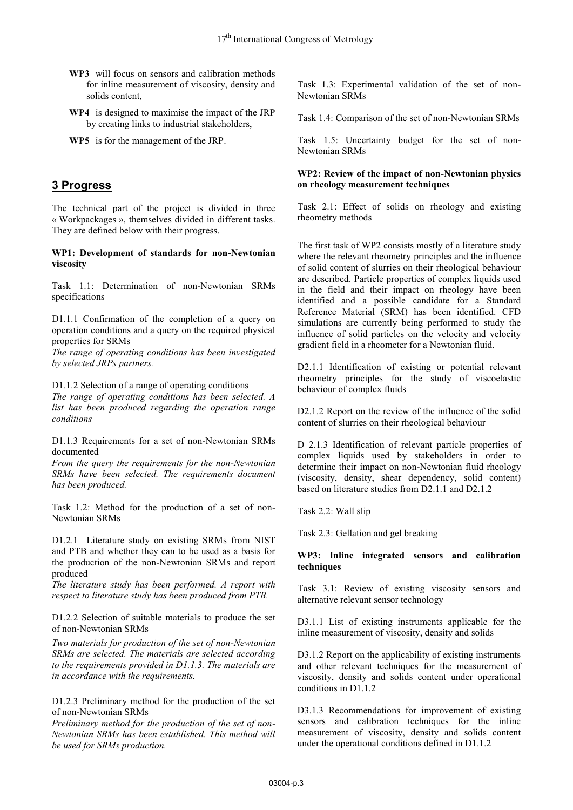- **WP3** will focus on sensors and calibration methods for inline measurement of viscosity, density and solids content,
- **WP4** is designed to maximise the impact of the JRP by creating links to industrial stakeholders,
- **WP5** is for the management of the JRP.

### **3 Progress**

The technical part of the project is divided in three « Workpackages », themselves divided in different tasks. They are defined below with their progress.

**WP1: Development of standards for non-Newtonian viscosity**

Task 1.1: Determination of non-Newtonian SRMs specifications

D1.1.1 Confirmation of the completion of a query on operation conditions and a query on the required physical properties for SRMs

*The range of operating conditions has been investigated by selected JRPs partners.* 

D1.1.2 Selection of a range of operating conditions

*The range of operating conditions has been selected. A list has been produced regarding the operation range conditions* 

D1.1.3 Requirements for a set of non-Newtonian SRMs documented

*From the query the requirements for the non-Newtonian SRMs have been selected. The requirements document has been produced.* 

Task 1.2: Method for the production of a set of non-Newtonian SRMs

D1.2.1 Literature study on existing SRMs from NIST and PTB and whether they can to be used as a basis for the production of the non-Newtonian SRMs and report produced

*The literature study has been performed. A report with respect to literature study has been produced from PTB.*

D1.2.2 Selection of suitable materials to produce the set of non-Newtonian SRMs

*Two materials for production of the set of non-Newtonian SRMs are selected. The materials are selected according to the requirements provided in D1.1.3. The materials are in accordance with the requirements.* 

D1.2.3 Preliminary method for the production of the set of non-Newtonian SRMs

*Preliminary method for the production of the set of non-Newtonian SRMs has been established. This method will be used for SRMs production.* 

Task 1.3: Experimental validation of the set of non-Newtonian SRMs

Task 1.4: Comparison of the set of non-Newtonian SRMs

Task 1.5: Uncertainty budget for the set of non-Newtonian SRMs

### **WP2: Review of the impact of non-Newtonian physics on rheology measurement techniques**

Task 2.1: Effect of solids on rheology and existing rheometry methods

The first task of WP2 consists mostly of a literature study where the relevant rheometry principles and the influence of solid content of slurries on their rheological behaviour are described. Particle properties of complex liquids used in the field and their impact on rheology have been identified and a possible candidate for a Standard Reference Material (SRM) has been identified. CFD simulations are currently being performed to study the influence of solid particles on the velocity and velocity gradient field in a rheometer for a Newtonian fluid.

D<sub>2.1.1</sub> Identification of existing or potential relevant rheometry principles for the study of viscoelastic behaviour of complex fluids

D2.1.2 Report on the review of the influence of the solid content of slurries on their rheological behaviour

D 2.1.3 Identification of relevant particle properties of complex liquids used by stakeholders in order to determine their impact on non-Newtonian fluid rheology (viscosity, density, shear dependency, solid content) based on literature studies from D2.1.1 and D2.1.2

Task 2.2: Wall slip

Task 2.3: Gellation and gel breaking

### **WP3: Inline integrated sensors and calibration techniques**

Task 3.1: Review of existing viscosity sensors and alternative relevant sensor technology

D3.1.1 List of existing instruments applicable for the inline measurement of viscosity, density and solids

D3.1.2 Report on the applicability of existing instruments and other relevant techniques for the measurement of viscosity, density and solids content under operational conditions in D1.1.2

D3.1.3 Recommendations for improvement of existing sensors and calibration techniques for the inline measurement of viscosity, density and solids content under the operational conditions defined in D1.1.2